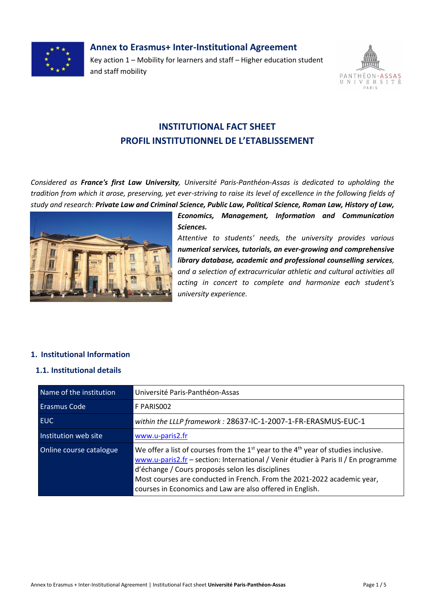

# **Annex to Erasmus+ Inter-Institutional Agreement**

Key action 1 – Mobility for learners and staff – Higher education student and staff mobility



# **INSTITUTIONAL FACT SHEET PROFIL INSTITUTIONNEL DE L'ETABLISSEMENT**

*Considered as France's first Law University, Université Paris-Panthéon-Assas is dedicated to upholding the tradition from which it arose, preserving, yet ever-striving to raise its level of excellence in the following fields of study and research: Private Law and Criminal Science, Public Law, Political Science, Roman Law, History of Law,* 



*Economics, Management, Information and Communication Sciences.*

*Attentive to students' needs, the university provides various numerical services, tutorials, an ever-growing and comprehensive library database, academic and professional counselling services, and a selection of extracurricular athletic and cultural activities all acting in concert to complete and harmonize each student's university experience.*

# **1. Institutional Information**

#### **1.1. Institutional details**

| Name of the institution | Université Paris-Panthéon-Assas                                                                                                                                                                                                                                                                                                                                          |
|-------------------------|--------------------------------------------------------------------------------------------------------------------------------------------------------------------------------------------------------------------------------------------------------------------------------------------------------------------------------------------------------------------------|
| <b>Erasmus Code</b>     | F PARISO02                                                                                                                                                                                                                                                                                                                                                               |
| <b>EUC</b>              | within the LLLP framework: 28637-IC-1-2007-1-FR-ERASMUS-EUC-1                                                                                                                                                                                                                                                                                                            |
| Institution web site    | www.u-paris2.fr                                                                                                                                                                                                                                                                                                                                                          |
| Online course catalogue | We offer a list of courses from the $1st$ year to the $4th$ year of studies inclusive.<br>www.u-paris2.fr - section: International / Venir étudier à Paris II / En programme<br>d'échange / Cours proposés selon les disciplines<br>Most courses are conducted in French. From the 2021-2022 academic year,<br>courses in Economics and Law are also offered in English. |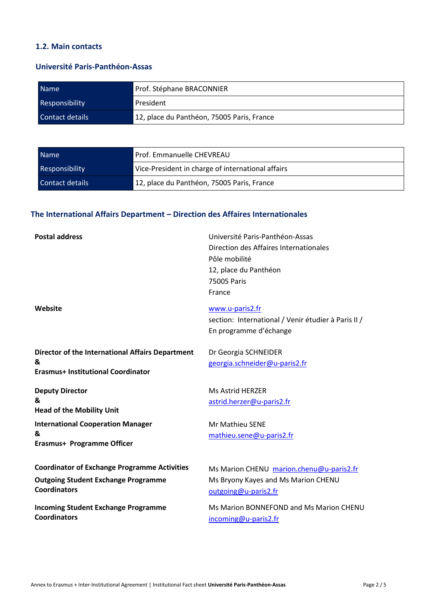# **1.2. Main contacts**

### **Université Paris-Panthéon-Assas**

| <b>Name</b>            | Prof. Stéphane BRACONNIER                  |
|------------------------|--------------------------------------------|
| <b>Responsibility</b>  | President                                  |
| <b>Contact details</b> | 12, place du Panthéon, 75005 Paris, France |

| Name <sup>®</sup>     | Prof. Emmanuelle CHEVREAU                         |
|-----------------------|---------------------------------------------------|
| <b>Responsibility</b> | Vice-President in charge of international affairs |
| Contact details       | 12, place du Panthéon, 75005 Paris, France        |

# **The International Affairs Department – Direction des Affaires Internationales**

| <b>Postal address</b>                                                                              | Université Paris-Panthéon-Assas<br>Direction des Affaires Internationales<br>Pôle mobilité<br>12, place du Panthéon<br>75005 Paris<br>France |
|----------------------------------------------------------------------------------------------------|----------------------------------------------------------------------------------------------------------------------------------------------|
| Website                                                                                            | www.u-paris2.fr<br>section: International / Venir étudier à Paris II /<br>En programme d'échange                                             |
| Director of the International Affairs Department<br>&<br><b>Erasmus+ Institutional Coordinator</b> | Dr Georgia SCHNEIDER<br>georgia.schneider@u-paris2.fr                                                                                        |
| <b>Deputy Director</b><br>&<br><b>Head of the Mobility Unit</b>                                    | Ms Astrid HERZER<br>astrid.herzer@u-paris2.fr                                                                                                |
| <b>International Cooperation Manager</b><br>&<br>Erasmus+ Programme Officer                        | Mr Mathieu SENE<br>mathieu.sene@u-paris2.fr                                                                                                  |
| <b>Coordinator of Exchange Programme Activities</b><br><b>Outgoing Student Exchange Programme</b>  | Ms Marion CHENU marion.chenu@u-paris2.fr<br>Ms Bryony Kayes and Ms Marion CHENU                                                              |
| <b>Coordinators</b><br><b>Incoming Student Exchange Programme</b><br><b>Coordinators</b>           | outgoing@u-paris2.fr<br>Ms Marion BONNEFOND and Ms Marion CHENU<br>incoming@u-paris2.fr                                                      |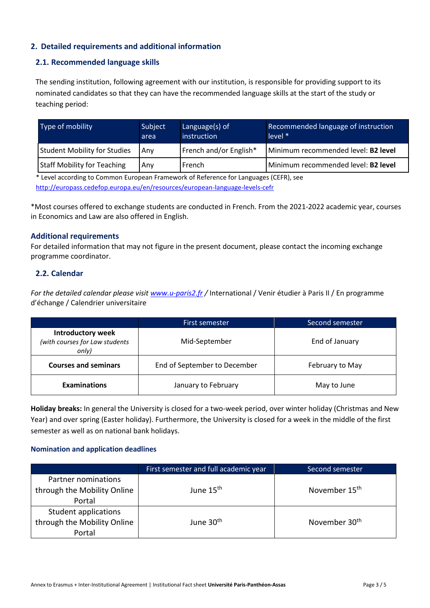# **2. Detailed requirements and additional information**

#### **2.1. Recommended language skills**

The sending institution, following agreement with our institution, is responsible for providing support to its nominated candidates so that they can have the recommended language skills at the start of the study or teaching period:

| Type of mobility                    | Subject<br>area | Language(s) of<br>instruction | Recommended language of instruction<br>$level *$ |
|-------------------------------------|-----------------|-------------------------------|--------------------------------------------------|
| <b>Student Mobility for Studies</b> | Anv             | French and/or English*        | Minimum recommended level: B2 level              |
| <b>Staff Mobility for Teaching</b>  | Anv             | French                        | Minimum recommended level: B2 level              |

\* Level according to Common European Framework of Reference for Languages (CEFR), see <http://europass.cedefop.europa.eu/en/resources/european-language-levels-cefr>

\*Most courses offered to exchange students are conducted in French. From the 2021-2022 academic year, courses in Economics and Law are also offered in English.

#### **Additional requirements**

For detailed information that may not figure in the present document, please contact the incoming exchange programme coordinator.

#### **2.2. Calendar**

*For the detailed calendar please visit [www.u-paris2.fr](http://www.u-paris2.fr/) /* International / Venir étudier à Paris II / En programme d'échange / Calendrier universitaire

|                                                                     | First semester               | Second semester |
|---------------------------------------------------------------------|------------------------------|-----------------|
| <b>Introductory week</b><br>(with courses for Law students<br>only) | Mid-September                | End of January  |
| <b>Courses and seminars</b>                                         | End of September to December | February to May |
| <b>Examinations</b>                                                 | January to February          | May to June     |

**Holiday breaks:** In general the University is closed for a two-week period, over winter holiday (Christmas and New Year) and over spring (Easter holiday). Furthermore, the University is closed for a week in the middle of the first semester as well as on national bank holidays.

#### **Nomination and application deadlines**

|                             | First semester and full academic year | Second semester           |
|-----------------------------|---------------------------------------|---------------------------|
| Partner nominations         |                                       |                           |
| through the Mobility Online | June 15 <sup>th</sup>                 | November 15 <sup>th</sup> |
| Portal                      |                                       |                           |
| Student applications        |                                       |                           |
| through the Mobility Online | June 30 <sup>th</sup>                 | November 30 <sup>th</sup> |
| Portal                      |                                       |                           |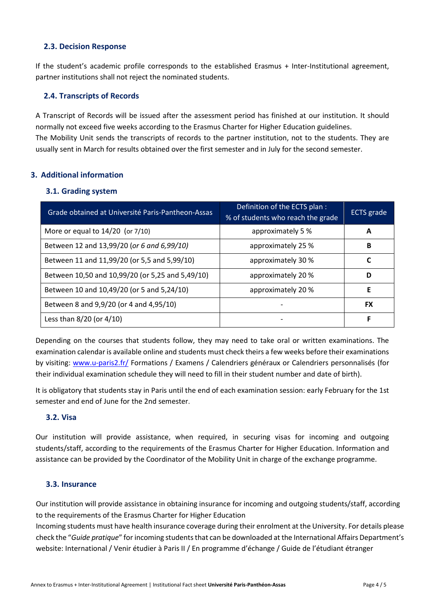#### **2.3. Decision Response**

If the student's academic profile corresponds to the established Erasmus + Inter-Institutional agreement, partner institutions shall not reject the nominated students.

### **2.4. Transcripts of Records**

A Transcript of Records will be issued after the assessment period has finished at our institution. It should normally not exceed five weeks according to the Erasmus Charter for Higher Education guidelines. The Mobility Unit sends the transcripts of records to the partner institution, not to the students. They are usually sent in March for results obtained over the first semester and in July for the second semester.

# **3. Additional information**

#### **3.1. Grading system**

| Grade obtained at Université Paris-Pantheon-Assas | Definition of the ECTS plan :<br>% of students who reach the grade | <b>ECTS</b> grade |
|---------------------------------------------------|--------------------------------------------------------------------|-------------------|
| More or equal to $14/20$ (or $7/10$ )             | approximately 5 %                                                  | A                 |
| Between 12 and 13,99/20 (or 6 and 6,99/10)        | approximately 25 %                                                 | В                 |
| Between 11 and 11,99/20 (or 5,5 and 5,99/10)      | approximately 30 %                                                 |                   |
| Between 10,50 and 10,99/20 (or 5,25 and 5,49/10)  | approximately 20 %                                                 | D                 |
| Between 10 and 10,49/20 (or 5 and 5,24/10)        | approximately 20 %                                                 | E                 |
| Between 8 and 9,9/20 (or 4 and 4,95/10)           |                                                                    | <b>FX</b>         |
| Less than $8/20$ (or $4/10$ )                     |                                                                    | F                 |

Depending on the courses that students follow, they may need to take oral or written examinations. The examination calendar is available online and students must check theirs a few weeks before their examinations by visiting: [www.u-paris2.fr/](http://www.u-paris2.fr/) Formations / Examens / Calendriers généraux or Calendriers personnalisés (for their individual examination schedule they will need to fill in their student number and date of birth).

It is obligatory that students stay in Paris until the end of each examination session: early February for the 1st semester and end of June for the 2nd semester.

#### **3.2. Visa**

Our institution will provide assistance, when required, in securing visas for incoming and outgoing students/staff, according to the requirements of the Erasmus Charter for Higher Education. Information and assistance can be provided by the Coordinator of the Mobility Unit in charge of the exchange programme.

#### **3.3. Insurance**

Our institution will provide assistance in obtaining insurance for incoming and outgoing students/staff, according to the requirements of the Erasmus Charter for Higher Education

Incoming students must have health insurance coverage during their enrolment at the University. For details please check the "*Guide pratique*" for incoming students that can be downloaded at the International Affairs Department's website: International / Venir étudier à Paris II / En programme d'échange / Guide de l'étudiant étranger